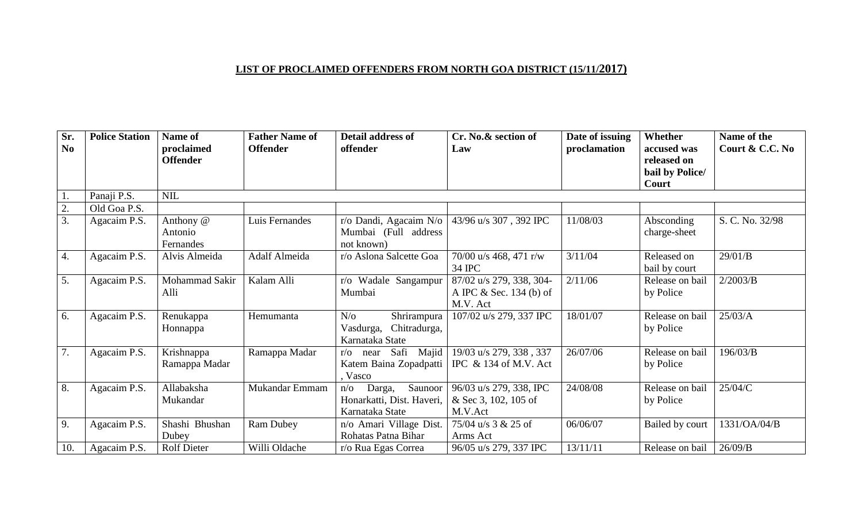## **LIST OF PROCLAIMED OFFENDERS FROM NORTH GOA DISTRICT (15/11/2017)**

| Sr.<br>N <sub>0</sub> | <b>Police Station</b> | Name of<br>proclaimed       | <b>Father Name of</b><br><b>Offender</b> | Detail address of<br>offender                                                       | Cr. No.& section of<br>Law                                        | Date of issuing<br>proclamation | Whether<br>accused was                  | Name of the<br>Court & C.C. No |
|-----------------------|-----------------------|-----------------------------|------------------------------------------|-------------------------------------------------------------------------------------|-------------------------------------------------------------------|---------------------------------|-----------------------------------------|--------------------------------|
|                       |                       | <b>Offender</b>             |                                          |                                                                                     |                                                                   |                                 | released on<br>bail by Police/<br>Court |                                |
|                       | Panaji P.S.           | <b>NIL</b>                  |                                          |                                                                                     |                                                                   |                                 |                                         |                                |
| 2.                    | Old Goa P.S.          |                             |                                          |                                                                                     |                                                                   |                                 |                                         |                                |
| 3.                    | Agacaim P.S.          | Anthony @                   | Luis Fernandes                           | r/o Dandi, Agacaim N/o                                                              | 43/96 u/s 307, 392 IPC                                            | 11/08/03                        | Absconding                              | S. C. No. 32/98                |
|                       |                       | Antonio<br>Fernandes        |                                          | Mumbai (Full address<br>not known)                                                  |                                                                   |                                 | charge-sheet                            |                                |
| 4.                    | Agacaim P.S.          | Alvis Almeida               | Adalf Almeida                            | r/o Aslona Salcette Goa                                                             | 70/00 u/s 468, 471 r/w<br>34 IPC                                  | 3/11/04                         | Released on<br>bail by court            | 29/01/B                        |
| 5.                    | Agacaim P.S.          | Mohammad Sakir<br>Alli      | Kalam Alli                               | r/o Wadale Sangampur<br>Mumbai                                                      | 87/02 u/s 279, 338, 304-<br>A IPC $&$ Sec. 134 (b) of<br>M.V. Act | 2/11/06                         | Release on bail<br>by Police            | 2/2003/B                       |
| 6.                    | Agacaim P.S.          | Renukappa<br>Honnappa       | Hemumanta                                | $N$ /0<br>Shrirampura<br>Chitradurga,<br>Vasdurga,<br>Karnataka State               | 107/02 u/s 279, 337 IPC                                           | 18/01/07                        | Release on bail<br>by Police            | 25/03/A                        |
| 7.                    | Agacaim P.S.          | Krishnappa<br>Ramappa Madar | Ramappa Madar                            | Majid<br>Safi<br>near<br>$r/\Omega$<br>Katem Baina Zopadpatti<br>Vasco              | 19/03 u/s 279, 338, 337<br>IPC & 134 of M.V. Act                  | 26/07/06                        | Release on bail<br>by Police            | 196/03/B                       |
| 8.                    | Agacaim P.S.          | Allabaksha<br>Mukandar      | Mukandar Emmam                           | Saunoor<br>Darga,<br>$n/\mathrm{o}$<br>Honarkatti, Dist. Haveri,<br>Karnataka State | 96/03 u/s 279, 338, IPC<br>& Sec 3, 102, 105 of<br>M.V.Act        | 24/08/08                        | Release on bail<br>by Police            | 25/04/C                        |
| 9.                    | Agacaim P.S.          | Shashi Bhushan<br>Dubey     | <b>Ram Dubey</b>                         | n/o Amari Village Dist.<br>Rohatas Patna Bihar                                      | 75/04 u/s 3 & 25 of<br>Arms Act                                   | 06/06/07                        | Bailed by court                         | 1331/OA/04/B                   |
| 10.                   | Agacaim P.S.          | <b>Rolf Dieter</b>          | Willi Oldache                            | r/o Rua Egas Correa                                                                 | 96/05 u/s 279, 337 IPC                                            | 13/11/11                        | Release on bail                         | 26/09/B                        |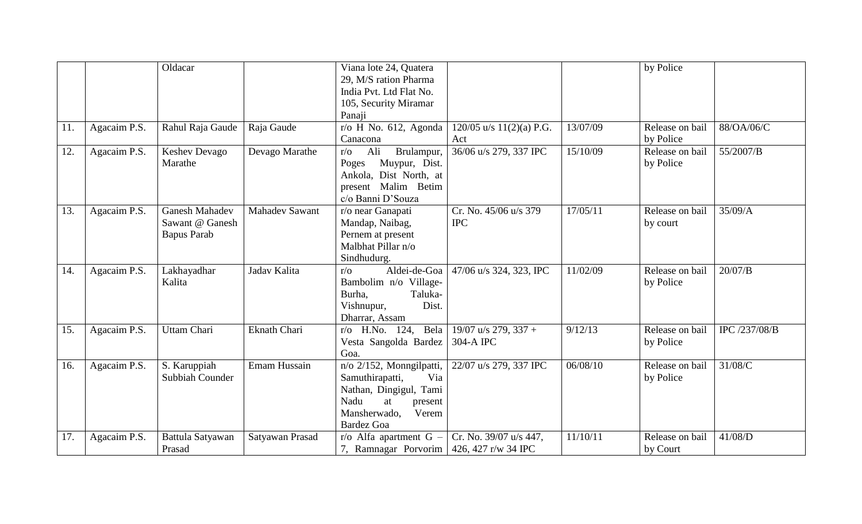|     |              | Oldacar                                                        |                       | Viana lote 24, Quatera<br>29, M/S ration Pharma<br>India Pvt. Ltd Flat No.<br>105, Security Miramar<br>Panaji                                                               |                                     |          | by Police                    |               |
|-----|--------------|----------------------------------------------------------------|-----------------------|-----------------------------------------------------------------------------------------------------------------------------------------------------------------------------|-------------------------------------|----------|------------------------------|---------------|
| 11. | Agacaim P.S. | Rahul Raja Gaude                                               | Raja Gaude            | $r$ /o H No. 612, Agonda<br>Canacona                                                                                                                                        | $120/05$ u/s $11(2)(a)$ P.G.<br>Act | 13/07/09 | Release on bail<br>by Police | 88/OA/06/C    |
| 12. | Agacaim P.S. | Keshev Devago<br>Marathe                                       | Devago Marathe        | Ali<br>Brulampur,<br>$r/\sigma$<br>Muypur, Dist.<br>Poges<br>Ankola, Dist North, at<br>present Malim Betim<br>c/o Banni D'Souza                                             | 36/06 u/s 279, 337 IPC              | 15/10/09 | Release on bail<br>by Police | 55/2007/B     |
| 13. | Agacaim P.S. | <b>Ganesh Mahadev</b><br>Sawant @ Ganesh<br><b>Bapus Parab</b> | <b>Mahadev Sawant</b> | r/o near Ganapati<br>Mandap, Naibag,<br>Pernem at present<br>Malbhat Pillar n/o<br>Sindhudurg.                                                                              | Cr. No. 45/06 u/s 379<br><b>IPC</b> | 17/05/11 | Release on bail<br>by court  | 35/09/A       |
| 14. | Agacaim P.S. | Lakhayadhar<br>Kalita                                          | Jadav Kalita          | Aldei-de-Goa<br>$r/\sigma$<br>Bambolim n/o Village-<br>Taluka-<br>Burha,<br>Dist.<br>Vishnupur,<br>Dharrar, Assam                                                           | 47/06 u/s 324, 323, IPC             | 11/02/09 | Release on bail<br>by Police | 20/07/B       |
| 15. | Agacaim P.S. | Uttam Chari                                                    | <b>Eknath Chari</b>   | $r/o$ H.No. 124,<br>Bela<br>Vesta Sangolda Bardez<br>Goa.                                                                                                                   | 19/07 u/s 279, 337 +<br>304-A IPC   | 9/12/13  | Release on bail<br>by Police | IPC /237/08/B |
| 16. | Agacaim P.S. | S. Karuppiah<br>Subbiah Counder                                | Emam Hussain          | $\overline{n}/\overline{o}$ 2/152, Monngilpatti,<br>Via<br>Samuthirapatti,<br>Nathan, Dingigul, Tami<br>Nadu<br>at<br>present<br>Mansherwado,<br>Verem<br><b>Bardez Goa</b> | 22/07 u/s 279, 337 IPC              | 06/08/10 | Release on bail<br>by Police | 31/08/C       |
| 17. | Agacaim P.S. | Battula Satyawan<br>Prasad                                     | Satyawan Prasad       | $r/\sigma$ Alfa apartment G –<br>7, Ramnagar Porvorim   426, 427 r/w 34 IPC                                                                                                 | Cr. No. 39/07 u/s 447,              | 11/10/11 | Release on bail<br>by Court  | 41/08/D       |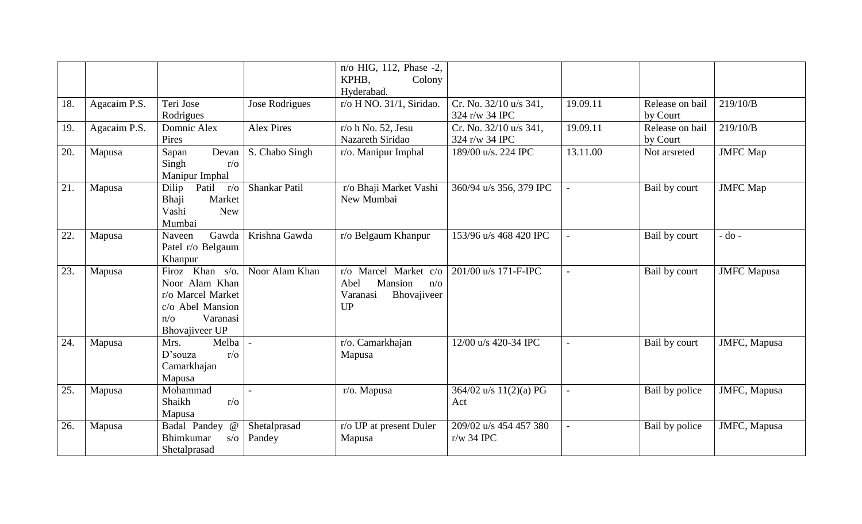|     |              |                                                                                                                               |                        | n/o HIG, 112, Phase -2,<br>KPHB,<br>Colony                                              |                                          |                |                             |                    |
|-----|--------------|-------------------------------------------------------------------------------------------------------------------------------|------------------------|-----------------------------------------------------------------------------------------|------------------------------------------|----------------|-----------------------------|--------------------|
|     |              |                                                                                                                               |                        | Hyderabad.                                                                              |                                          |                |                             |                    |
| 18. | Agacaim P.S. | Teri Jose<br>Rodrigues                                                                                                        | Jose Rodrigues         | r/o H NO. 31/1, Siridao.                                                                | Cr. No. 32/10 u/s 341,<br>324 r/w 34 IPC | 19.09.11       | Release on bail<br>by Court | 219/10/B           |
| 19. | Agacaim P.S. | Domnic Alex<br>Pires                                                                                                          | <b>Alex Pires</b>      | r/o h No. 52, Jesu<br>Nazareth Siridao                                                  | Cr. No. 32/10 u/s 341,<br>324 r/w 34 IPC | 19.09.11       | Release on bail<br>by Court | 219/10/B           |
| 20. | Mapusa       | Devan<br>Sapan<br>Singh<br>$r/\sigma$<br>Manipur Imphal                                                                       | S. Chabo Singh         | r/o. Manipur Imphal                                                                     | 189/00 u/s. 224 IPC                      | 13.11.00       | Not arsreted                | <b>JMFC</b> Map    |
| 21. | Mapusa       | Patil<br>Dilip<br>$r/\sigma$<br>Bhaji<br>Market<br>Vashi<br><b>New</b><br>Mumbai                                              | <b>Shankar Patil</b>   | r/o Bhaji Market Vashi<br>New Mumbai                                                    | 360/94 u/s 356, 379 IPC                  | $\overline{a}$ | Bail by court               | <b>JMFC</b> Map    |
| 22. | Mapusa       | Gawda<br>Naveen<br>Patel r/o Belgaum<br>Khanpur                                                                               | Krishna Gawda          | r/o Belgaum Khanpur                                                                     | 153/96 u/s 468 420 IPC                   |                | Bail by court               | $-do -$            |
| 23. | Mapusa       | Firoz Khan s/o.<br>Noor Alam Khan<br>r/o Marcel Market<br>c/o Abel Mansion<br>Varanasi<br>$n/\sigma$<br><b>Bhovajiveer UP</b> | Noor Alam Khan         | r/o Marcel Market c/o<br>Abel<br>Mansion<br>$n/\sigma$<br>Bhovajiveer<br>Varanasi<br>UP | 201/00 u/s 171-F-IPC                     |                | Bail by court               | <b>JMFC</b> Mapusa |
| 24. | Mapusa       | Melba<br>Mrs.<br>$r/\sigma$<br>$D$ 'souza<br>Camarkhajan<br>Mapusa                                                            |                        | r/o. Camarkhajan<br>Mapusa                                                              | 12/00 u/s 420-34 IPC                     |                | Bail by court               | JMFC, Mapusa       |
| 25. | Mapusa       | Mohammad<br>Shaikh<br>$r/\sigma$<br>Mapusa                                                                                    |                        | r/o. Mapusa                                                                             | 364/02 u/s 11(2)(a) PG<br>Act            |                | Bail by police              | JMFC, Mapusa       |
| 26. | Mapusa       | Badal Pandey<br>$\omega$<br><b>Bhimkumar</b><br>$s/\sigma$<br>Shetalprasad                                                    | Shetalprasad<br>Pandey | r/o UP at present Duler<br>Mapusa                                                       | 209/02 u/s 454 457 380<br>$r/w$ 34 IPC   |                | Bail by police              | JMFC, Mapusa       |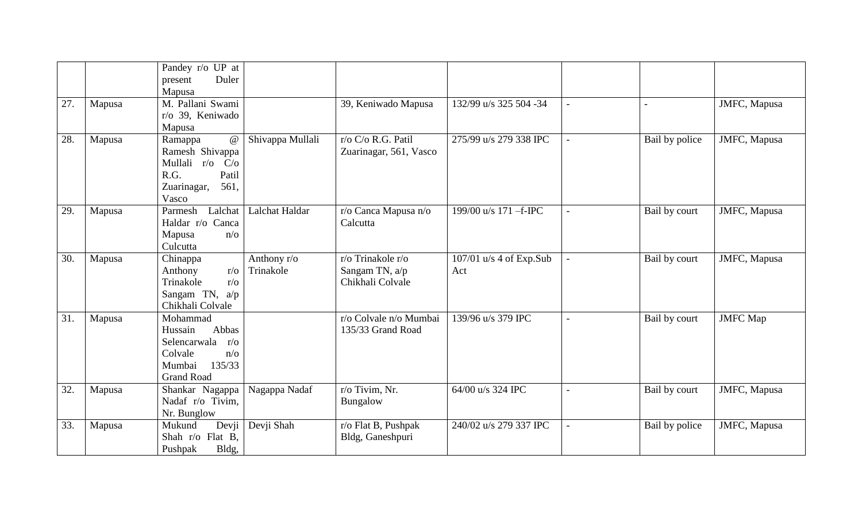| 27. | Mapusa | Pandey r/o UP at<br>Duler<br>present<br>Mapusa<br>M. Pallani Swami                                                           |                          | 39, Keniwado Mapusa                                     | 132/99 u/s 325 504 -34                             |                | JMFC, Mapusa    |
|-----|--------|------------------------------------------------------------------------------------------------------------------------------|--------------------------|---------------------------------------------------------|----------------------------------------------------|----------------|-----------------|
|     |        | r/o 39, Keniwado<br>Mapusa                                                                                                   |                          |                                                         |                                                    |                |                 |
| 28. | Mapusa | $\omega$<br>Ramappa<br>Ramesh Shivappa<br>Mullali r/o<br>C/O<br>R.G.<br>Patil<br>Zuarinagar,<br>561,<br>Vasco                | Shivappa Mullali         | r/o C/o R.G. Patil<br>Zuarinagar, 561, Vasco            | 275/99 u/s 279 338 IPC                             | Bail by police | JMFC, Mapusa    |
| 29. | Mapusa | Parmesh<br>Lalchat<br>Haldar r/o Canca<br>Mapusa<br>$n/\sigma$<br>Culcutta                                                   | Lalchat Haldar           | r/o Canca Mapusa n/o<br>Calcutta                        | 199/00 u/s 171 -f-IPC<br>$\overline{a}$            | Bail by court  | JMFC, Mapusa    |
| 30. | Mapusa | Chinappa<br>Anthony<br>$r/\sigma$<br>Trinakole<br>$r/\sigma$<br>Sangam TN, $a/p$<br>Chikhali Colvale                         | Anthony r/o<br>Trinakole | r/o Trinakole r/o<br>Sangam TN, a/p<br>Chikhali Colvale | $107/01$ u/s 4 of Exp.Sub<br>$\blacksquare$<br>Act | Bail by court  | JMFC, Mapusa    |
| 31. | Mapusa | Mohammad<br>Abbas<br>Hussain<br>Selencarwala<br>$r/\sigma$<br>Colvale<br>$n/\sigma$<br>Mumbai<br>135/33<br><b>Grand Road</b> |                          | r/o Colvale n/o Mumbai<br>135/33 Grand Road             | 139/96 u/s 379 IPC                                 | Bail by court  | <b>JMFC</b> Map |
| 32. | Mapusa | Shankar Nagappa<br>Nadaf r/o Tivim,<br>Nr. Bunglow                                                                           | Nagappa Nadaf            | r/o Tivim, Nr.<br>Bungalow                              | 64/00 u/s 324 IPC                                  | Bail by court  | JMFC, Mapusa    |
| 33. | Mapusa | Mukund<br>Devji<br>Shah r/o Flat B,<br>Bldg,<br>Pushpak                                                                      | Devji Shah               | r/o Flat B, Pushpak<br>Bldg, Ganeshpuri                 | 240/02 u/s 279 337 IPC                             | Bail by police | JMFC, Mapusa    |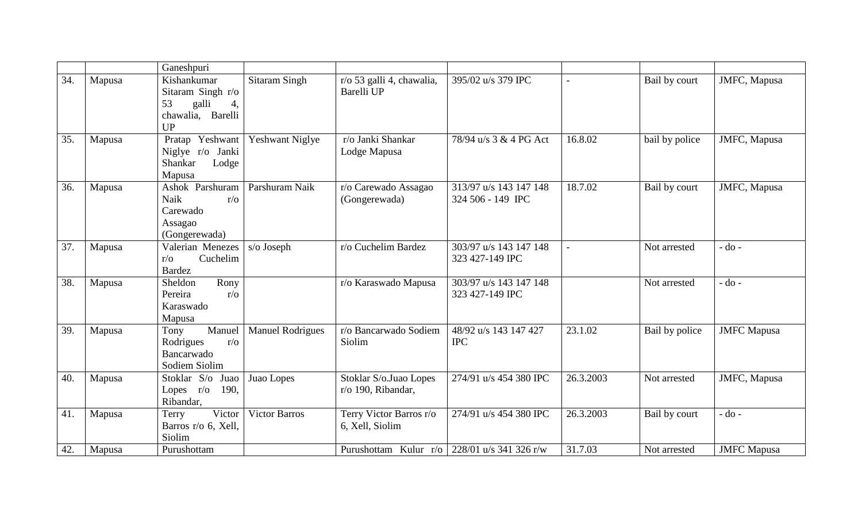|     |        | Ganeshpuri                                                                              |                         |                                              |                                             |           |                |                    |
|-----|--------|-----------------------------------------------------------------------------------------|-------------------------|----------------------------------------------|---------------------------------------------|-----------|----------------|--------------------|
| 34. | Mapusa | Kishankumar<br>Sitaram Singh r/o<br>galli<br>53<br>4,<br>chawalia, Barelli<br><b>UP</b> | <b>Sitaram Singh</b>    | r/o 53 galli 4, chawalia,<br>Barelli UP      | 395/02 u/s 379 IPC                          |           | Bail by court  | JMFC, Mapusa       |
| 35. | Mapusa | Pratap Yeshwant<br>Niglye r/o Janki<br>Shankar<br>Lodge<br>Mapusa                       | <b>Yeshwant Niglye</b>  | r/o Janki Shankar<br>Lodge Mapusa            | 78/94 u/s 3 & 4 PG Act                      | 16.8.02   | bail by police | JMFC, Mapusa       |
| 36. | Mapusa | Ashok Parshuram<br>Naik<br>$r/\sigma$<br>Carewado<br>Assagao<br>(Gongerewada)           | Parshuram Naik          | r/o Carewado Assagao<br>(Gongerewada)        | 313/97 u/s 143 147 148<br>324 506 - 149 IPC | 18.7.02   | Bail by court  | JMFC, Mapusa       |
| 37. | Mapusa | Valerian Menezes<br>Cuchelim<br>$r/\sigma$<br><b>Bardez</b>                             | s/o Joseph              | r/o Cuchelim Bardez                          | 303/97 u/s 143 147 148<br>323 427-149 IPC   |           | Not arrested   | $-do -$            |
| 38. | Mapusa | Rony<br>Sheldon<br>Pereira<br>$r/\sigma$<br>Karaswado<br>Mapusa                         |                         | r/o Karaswado Mapusa                         | 303/97 u/s 143 147 148<br>323 427-149 IPC   |           | Not arrested   | $-do -$            |
| 39. | Mapusa | Manuel<br>Tony<br>$r/\mathrm{o}$<br>Rodrigues<br>Bancarwado<br>Sodiem Siolim            | <b>Manuel Rodrigues</b> | r/o Bancarwado Sodiem<br>Siolim              | 48/92 u/s 143 147 427<br><b>IPC</b>         | 23.1.02   | Bail by police | <b>JMFC</b> Mapusa |
| 40. | Mapusa | Stoklar S/o Juao<br>Lopes $r/o$<br>190,<br>Ribandar,                                    | Juao Lopes              | Stoklar S/o.Juao Lopes<br>r/o 190, Ribandar, | 274/91 u/s 454 380 IPC                      | 26.3.2003 | Not arrested   | JMFC, Mapusa       |
| 41. | Mapusa | Victor<br>Terry<br>Barros r/o 6, Xell,<br>Siolim                                        | <b>Victor Barros</b>    | Terry Victor Barros r/o<br>6, Xell, Siolim   | 274/91 u/s 454 380 IPC                      | 26.3.2003 | Bail by court  | $-do -$            |
| 42. | Mapusa | Purushottam                                                                             |                         | Purushottam Kulur r/o                        | 228/01 u/s 341 326 r/w                      | 31.7.03   | Not arrested   | <b>JMFC</b> Mapusa |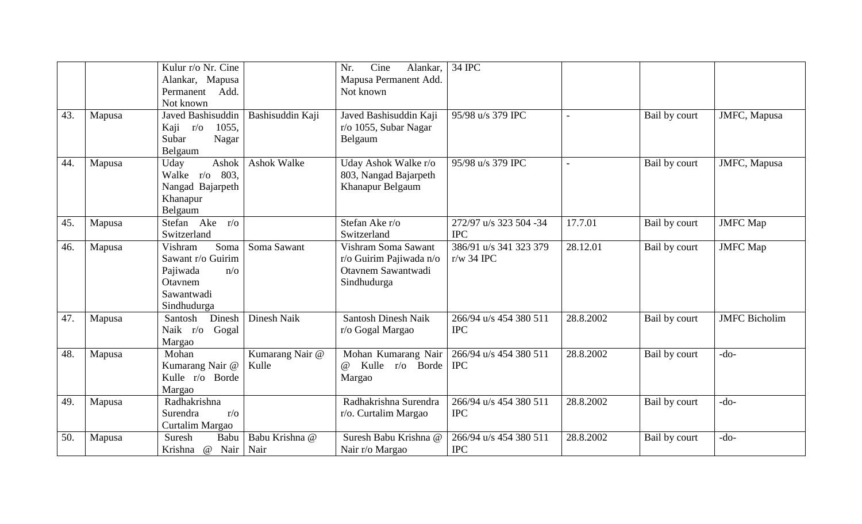|     |        | Kulur r/o Nr. Cine<br>Alankar, Mapusa<br>Permanent Add.<br>Not known                                   |                          | Cine<br>Nr.<br>Alankar,<br>Mapusa Permanent Add.<br>Not known                       | 34 IPC                                 |           |               |                      |
|-----|--------|--------------------------------------------------------------------------------------------------------|--------------------------|-------------------------------------------------------------------------------------|----------------------------------------|-----------|---------------|----------------------|
| 43. | Mapusa | Javed Bashisuddin<br>1055,<br>Kaji r/o<br>Subar<br>Nagar<br>Belgaum                                    | Bashisuddin Kaji         | Javed Bashisuddin Kaji<br>r/o 1055, Subar Nagar<br>Belgaum                          | 95/98 u/s 379 IPC                      |           | Bail by court | JMFC, Mapusa         |
| 44. | Mapusa | Ashok<br>Uday<br>Walke r/o 803,<br>Nangad Bajarpeth<br>Khanapur<br>Belgaum                             | <b>Ashok Walke</b>       | Uday Ashok Walke r/o<br>803, Nangad Bajarpeth<br>Khanapur Belgaum                   | 95/98 u/s 379 IPC                      |           | Bail by court | JMFC, Mapusa         |
| 45. | Mapusa | Stefan Ake<br>$r/\sigma$<br>Switzerland                                                                |                          | Stefan Ake r/o<br>Switzerland                                                       | 272/97 u/s 323 504 -34<br><b>IPC</b>   | 17.7.01   | Bail by court | <b>JMFC</b> Map      |
| 46. | Mapusa | Soma<br>Vishram<br>Sawant r/o Guirim<br>Pajiwada<br>$n/\sigma$<br>Otavnem<br>Sawantwadi<br>Sindhudurga | Soma Sawant              | Vishram Soma Sawant<br>r/o Guirim Pajiwada n/o<br>Otavnem Sawantwadi<br>Sindhudurga | 386/91 u/s 341 323 379<br>$r/w$ 34 IPC | 28.12.01  | Bail by court | <b>JMFC</b> Map      |
| 47. | Mapusa | Santosh<br>Dinesh<br>Naik r/o<br>Gogal<br>Margao                                                       | Dinesh Naik              | <b>Santosh Dinesh Naik</b><br>r/o Gogal Margao                                      | 266/94 u/s 454 380 511<br><b>IPC</b>   | 28.8.2002 | Bail by court | <b>JMFC</b> Bicholim |
| 48. | Mapusa | Mohan<br>Kumarang Nair @<br>Kulle r/o Borde<br>Margao                                                  | Kumarang Nair @<br>Kulle | Mohan Kumarang Nair<br>Kulle r/o Borde<br>$\omega$<br>Margao                        | 266/94 u/s 454 380 511<br><b>IPC</b>   | 28.8.2002 | Bail by court | $-do-$               |
| 49. | Mapusa | Radhakrishna<br>Surendra<br>$r/\sigma$<br>Curtalim Margao                                              |                          | Radhakrishna Surendra<br>r/o. Curtalim Margao                                       | 266/94 u/s 454 380 511<br><b>IPC</b>   | 28.8.2002 | Bail by court | $-do-$               |
| 50. | Mapusa | Suresh<br>Babu<br>@<br>Nair<br>Krishna                                                                 | Babu Krishna @<br>Nair   | Suresh Babu Krishna @<br>Nair r/o Margao                                            | 266/94 u/s 454 380 511<br><b>IPC</b>   | 28.8.2002 | Bail by court | $-do-$               |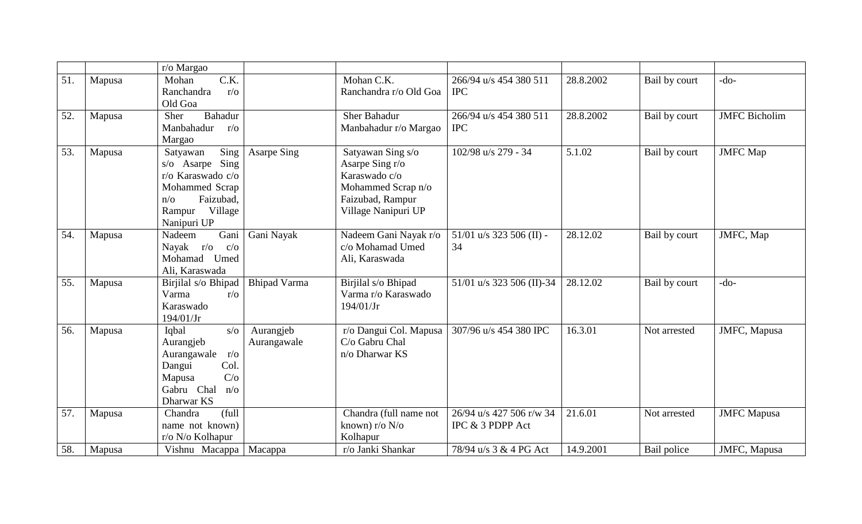|     |        | r/o Margao                                                                                                                                 |                          |                                                                                                                        |                                              |           |               |                      |
|-----|--------|--------------------------------------------------------------------------------------------------------------------------------------------|--------------------------|------------------------------------------------------------------------------------------------------------------------|----------------------------------------------|-----------|---------------|----------------------|
| 51. | Mapusa | C.K.<br>Mohan<br>Ranchandra<br>$r/\sigma$<br>Old Goa                                                                                       |                          | Mohan C.K.<br>Ranchandra r/o Old Goa                                                                                   | 266/94 u/s 454 380 511<br><b>IPC</b>         | 28.8.2002 | Bail by court | $-do-$               |
| 52. | Mapusa | <b>Bahadur</b><br>Sher<br>Manbahadur<br>$r/\sigma$<br>Margao                                                                               |                          | <b>Sher Bahadur</b><br>Manbahadur r/o Margao                                                                           | 266/94 u/s 454 380 511<br><b>IPC</b>         | 28.8.2002 | Bail by court | <b>JMFC</b> Bicholim |
| 53. | Mapusa | Sing<br>Satyawan<br>s/o Asarpe Sing<br>r/o Karaswado c/o<br>Mohammed Scrap<br>Faizubad,<br>$n/\sigma$<br>Village<br>Rampur<br>Nanipuri UP  | <b>Asarpe Sing</b>       | Satyawan Sing s/o<br>Asarpe Sing r/o<br>Karaswado c/o<br>Mohammed Scrap n/o<br>Faizubad, Rampur<br>Village Nanipuri UP | 102/98 u/s 279 - 34                          | 5.1.02    | Bail by court | <b>JMFC</b> Map      |
| 54. | Mapusa | Gani<br>Nadeem<br>Nayak r/o<br>$c/\sigma$<br>Mohamad Umed<br>Ali, Karaswada                                                                | Gani Nayak               | Nadeem Gani Nayak r/o<br>c/o Mohamad Umed<br>Ali, Karaswada                                                            | 51/01 u/s 323 506 (II) -<br>34               | 28.12.02  | Bail by court | JMFC, Map            |
| 55. | Mapusa | Birjilal s/o Bhipad<br>Varma<br>$r/\sigma$<br>Karaswado<br>194/01/Jr                                                                       | <b>Bhipad Varma</b>      | Birjilal s/o Bhipad<br>Varma r/o Karaswado<br>194/01/Jr                                                                | 51/01 u/s 323 506 (II)-34                    | 28.12.02  | Bail by court | $-do-$               |
| 56. | Mapusa | Iqbal<br>$s/\sigma$<br>Aurangjeb<br>Aurangawale<br>$r/\sigma$<br>Col.<br>Dangui<br>C/O<br>Mapusa<br>Gabru Chal<br>$n/\sigma$<br>Dharwar KS | Aurangjeb<br>Aurangawale | r/o Dangui Col. Mapusa<br>C/o Gabru Chal<br>n/o Dharwar KS                                                             | 307/96 u/s 454 380 IPC                       | 16.3.01   | Not arrested  | JMFC, Mapusa         |
| 57. | Mapusa | (full<br>Chandra<br>name not known)<br>r/o N/o Kolhapur                                                                                    |                          | Chandra (full name not<br>known) r/o $N$ /o<br>Kolhapur                                                                | 26/94 u/s 427 506 r/w 34<br>IPC & 3 PDPP Act | 21.6.01   | Not arrested  | <b>JMFC</b> Mapusa   |
| 58. | Mapusa | Vishnu Macappa                                                                                                                             | Macappa                  | r/o Janki Shankar                                                                                                      | 78/94 u/s 3 & 4 PG Act                       | 14.9.2001 | Bail police   | JMFC, Mapusa         |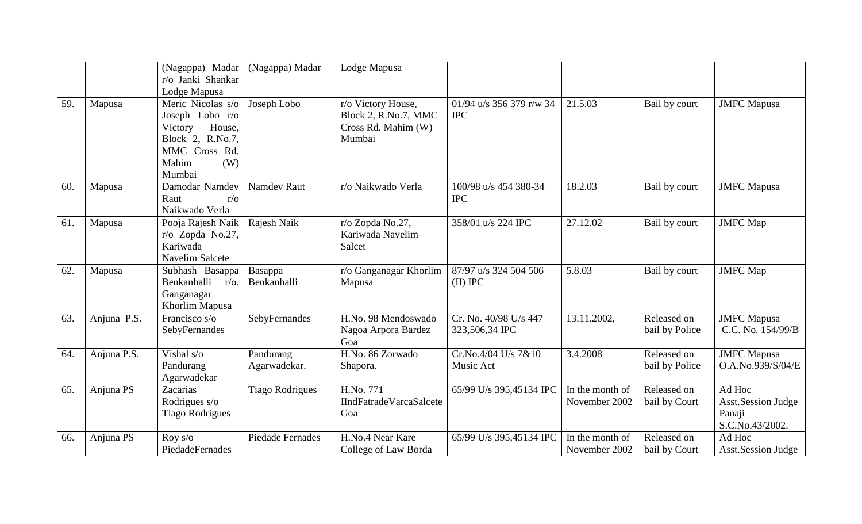|     |             | (Nagappa) Madar<br>r/o Janki Shankar<br>Lodge Mapusa                                                                     | (Nagappa) Madar           | Lodge Mapusa                                                                |                                         |                                  |                               |                                                           |
|-----|-------------|--------------------------------------------------------------------------------------------------------------------------|---------------------------|-----------------------------------------------------------------------------|-----------------------------------------|----------------------------------|-------------------------------|-----------------------------------------------------------|
| 59. | Mapusa      | Meric Nicolas s/o<br>Joseph Lobo r/o<br>House,<br>Victory<br>Block 2, R.No.7,<br>MMC Cross Rd.<br>Mahim<br>(W)<br>Mumbai | Joseph Lobo               | r/o Victory House,<br>Block 2, R.No.7, MMC<br>Cross Rd. Mahim (W)<br>Mumbai | 01/94 u/s 356 379 r/w 34<br><b>IPC</b>  | 21.5.03                          | Bail by court                 | <b>JMFC</b> Mapusa                                        |
| 60. | Mapusa      | Damodar Namdev<br>Raut<br>$r/\sigma$<br>Naikwado Verla                                                                   | <b>Namdev Raut</b>        | r/o Naikwado Verla                                                          | 100/98 u/s 454 380-34<br><b>IPC</b>     | 18.2.03                          | Bail by court                 | <b>JMFC</b> Mapusa                                        |
| 61. | Mapusa      | Pooja Rajesh Naik<br>r/o Zopda No.27,<br>Kariwada<br><b>Navelim Salcete</b>                                              | Rajesh Naik               | r/o Zopda No.27,<br>Kariwada Navelim<br>Salcet                              | 358/01 u/s 224 IPC                      | 27.12.02                         | Bail by court                 | <b>JMFC</b> Map                                           |
| 62. | Mapusa      | Subhash Basappa<br>Benkanhalli<br>$r/\sigma$ .<br>Ganganagar<br>Khorlim Mapusa                                           | Basappa<br>Benkanhalli    | r/o Ganganagar Khorlim<br>Mapusa                                            | 87/97 u/s 324 504 506<br>$(II)$ IPC     | 5.8.03                           | Bail by court                 | <b>JMFC</b> Map                                           |
| 63. | Anjuna P.S. | Francisco s/o<br>SebyFernandes                                                                                           | SebyFernandes             | H.No. 98 Mendoswado<br>Nagoa Arpora Bardez<br>Goa                           | Cr. No. 40/98 U/s 447<br>323,506,34 IPC | 13.11.2002,                      | Released on<br>bail by Police | <b>JMFC</b> Mapusa<br>C.C. No. 154/99/B                   |
| 64. | Anjuna P.S. | Vishal s/o<br>Pandurang<br>Agarwadekar                                                                                   | Pandurang<br>Agarwadekar. | H.No. 86 Zorwado<br>Shapora.                                                | Cr.No.4/04 U/s 7&10<br>Music Act        | 3.4.2008                         | Released on<br>bail by Police | <b>JMFC</b> Mapusa<br>O.A.No.939/S/04/E                   |
| 65. | Anjuna PS   | Zacarias<br>Rodrigues s/o<br><b>Tiago Rodrigues</b>                                                                      | <b>Tiago Rodrigues</b>    | H.No. 771<br><b>IIndFatradeVarcaSalcete</b><br>Goa                          | 65/99 U/s 395,45134 IPC                 | In the month of<br>November 2002 | Released on<br>bail by Court  | Ad Hoc<br>Asst.Session Judge<br>Panaji<br>S.C.No.43/2002. |
| 66. | Anjuna PS   | Roy s/o<br>PiedadeFernades                                                                                               | <b>Piedade Fernades</b>   | H.No.4 Near Kare<br>College of Law Borda                                    | 65/99 U/s 395,45134 IPC                 | In the month of<br>November 2002 | Released on<br>bail by Court  | Ad Hoc<br><b>Asst.Session Judge</b>                       |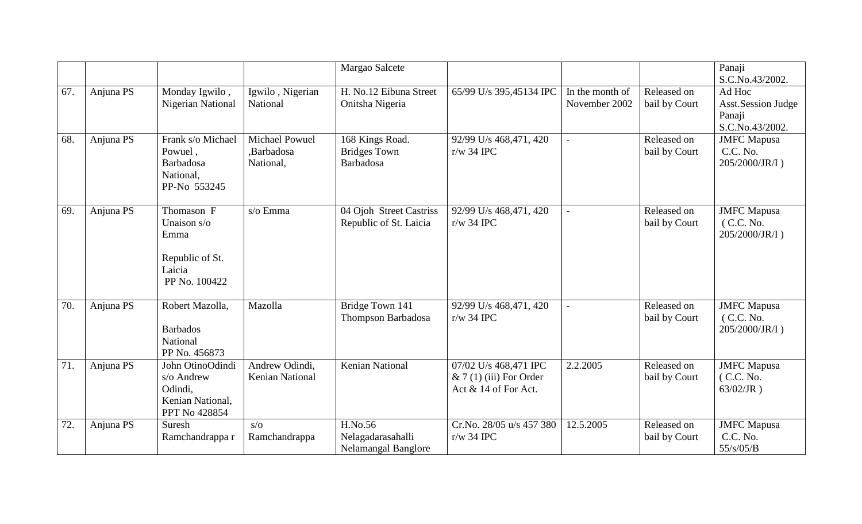|     |           |                                                                                 |                                           | Margao Salcete                                             |                                                                           |                                  |                              | Panaji<br>S.C.No.43/2002.                                        |
|-----|-----------|---------------------------------------------------------------------------------|-------------------------------------------|------------------------------------------------------------|---------------------------------------------------------------------------|----------------------------------|------------------------------|------------------------------------------------------------------|
| 67. | Anjuna PS | Monday Igwilo,<br><b>Nigerian National</b>                                      | Igwilo, Nigerian<br>National              | H. No.12 Eibuna Street<br>Onitsha Nigeria                  | 65/99 U/s 395,45134 IPC                                                   | In the month of<br>November 2002 | Released on<br>bail by Court | Ad Hoc<br><b>Asst.Session Judge</b><br>Panaji<br>S.C.No.43/2002. |
| 68. | Anjuna PS | Frank s/o Michael<br>Powuel,<br>Barbadosa<br>National,<br>PP-No 553245          | Michael Powuel<br>,Barbadosa<br>National, | 168 Kings Road.<br><b>Bridges Town</b><br><b>Barbadosa</b> | 92/99 U/s 468,471, 420<br>$r/w$ 34 IPC                                    |                                  | Released on<br>bail by Court | <b>JMFC</b> Mapusa<br>C.C. No.<br>205/2000/JR/I)                 |
| 69. | Anjuna PS | Thomason F<br>Unaison s/o<br>Emma<br>Republic of St.<br>Laicia<br>PP No. 100422 | s/o Emma                                  | 04 Ojoh Street Castriss<br>Republic of St. Laicia          | 92/99 U/s 468,471, 420<br>$r/w$ 34 IPC                                    | $\overline{a}$                   | Released on<br>bail by Court | <b>JMFC</b> Mapusa<br>(C.C. No.<br>205/2000/JR/I)                |
| 70. | Anjuna PS | Robert Mazolla,<br><b>Barbados</b><br>National<br>PP No. 456873                 | Mazolla                                   | Bridge Town 141<br>Thompson Barbadosa                      | 92/99 U/s 468,471, 420<br>$r/w$ 34 IPC                                    | $\overline{a}$                   | Released on<br>bail by Court | <b>JMFC</b> Mapusa<br>(C.C. No.<br>205/2000/JR/I)                |
| 71. | Anjuna PS | John OtinoOdindi<br>s/o Andrew<br>Odindi,<br>Kenian National,<br>PPT No 428854  | Andrew Odindi,<br><b>Kenian National</b>  | <b>Kenian National</b>                                     | 07/02 U/s 468,471 IPC<br>$& 7(1)$ (iii) For Order<br>Act & 14 of For Act. | 2.2.2005                         | Released on<br>bail by Court | <b>JMFC</b> Mapusa<br>(C.C. No.<br>$63/02/JR$ )                  |
| 72. | Anjuna PS | Suresh<br>Ramchandrappa r                                                       | S/O<br>Ramchandrappa                      | H.No.56<br>Nelagadarasahalli<br><b>Nelamangal Banglore</b> | Cr.No. 28/05 u/s 457 380<br>$r/w$ 34 IPC                                  | 12.5.2005                        | Released on<br>bail by Court | <b>JMFC</b> Mapusa<br>C.C. No.<br>55/s/05/B                      |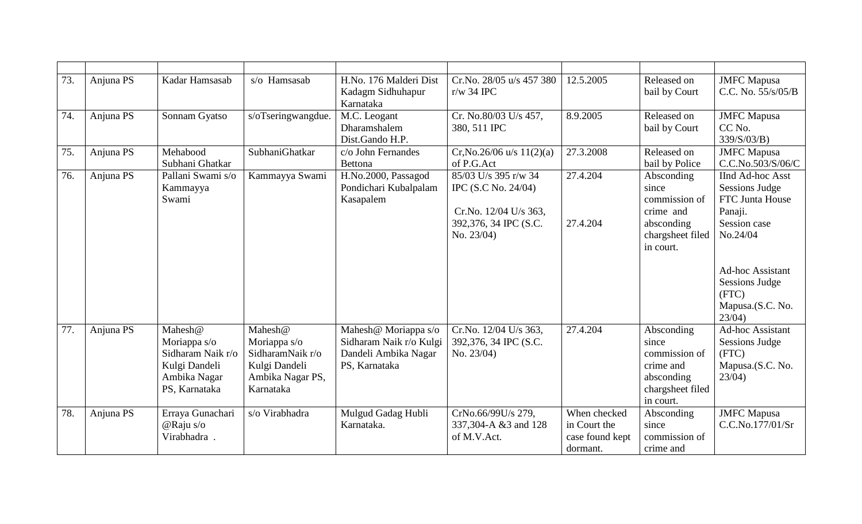| 73. | Anjuna PS | Kadar Hamsasab                                                                                 | s/o Hamsasab                                                                                  | H.No. 176 Malderi Dist<br>Kadagm Sidhuhapur<br>Karnataka                                 | Cr.No. 28/05 u/s 457 380<br>$r/w$ 34 IPC                                                                    | 12.5.2005                                                   | Released on<br>bail by Court                                                                     | <b>JMFC</b> Mapusa<br>C.C. No. 55/s/05/B                                                                                                                                                          |
|-----|-----------|------------------------------------------------------------------------------------------------|-----------------------------------------------------------------------------------------------|------------------------------------------------------------------------------------------|-------------------------------------------------------------------------------------------------------------|-------------------------------------------------------------|--------------------------------------------------------------------------------------------------|---------------------------------------------------------------------------------------------------------------------------------------------------------------------------------------------------|
| 74. | Anjuna PS | Sonnam Gyatso                                                                                  | $s$ /oTseringwangdue.                                                                         | M.C. Leogant<br>Dharamshalem<br>Dist.Gando H.P.                                          | Cr. No.80/03 U/s 457,<br>380, 511 IPC                                                                       | 8.9.2005                                                    | Released on<br>bail by Court                                                                     | <b>JMFC</b> Mapusa<br>CC No.<br>339/S/03/B)                                                                                                                                                       |
| 75. | Anjuna PS | Mehabood<br>Subhani Ghatkar                                                                    | SubhaniGhatkar                                                                                | c/o John Fernandes<br><b>Bettona</b>                                                     | $Cr, No.26/06$ u/s $11(2)(a)$<br>of P.G.Act                                                                 | 27.3.2008                                                   | Released on<br>bail by Police                                                                    | <b>JMFC</b> Mapusa<br>C.C.No.503/S/06/C                                                                                                                                                           |
| 76. | Anjuna PS | Pallani Swami s/o<br>Kammayya<br>Swami                                                         | Kammayya Swami                                                                                | H.No.2000, Passagod<br>Pondichari Kubalpalam<br>Kasapalem                                | 85/03 U/s 395 r/w 34<br>IPC (S.C No. 24/04)<br>Cr.No. 12/04 U/s 363,<br>392,376, 34 IPC (S.C.<br>No. 23/04) | 27.4.204<br>27.4.204                                        | Absconding<br>since<br>commission of<br>crime and<br>absconding<br>chargsheet filed<br>in court. | <b>IInd Ad-hoc Asst</b><br><b>Sessions Judge</b><br>FTC Junta House<br>Panaji.<br>Session case<br>No.24/04<br>Ad-hoc Assistant<br><b>Sessions Judge</b><br>(FTC)<br>Mapusa.(S.C. No.<br>$23/04$ ) |
| 77. | Anjuna PS | Mahesh@<br>Moriappa s/o<br>Sidharam Naik r/o<br>Kulgi Dandeli<br>Ambika Nagar<br>PS, Karnataka | Mahesh@<br>Moriappa s/o<br>SidharamNaik r/o<br>Kulgi Dandeli<br>Ambika Nagar PS,<br>Karnataka | Mahesh@ Moriappa s/o<br>Sidharam Naik r/o Kulgi<br>Dandeli Ambika Nagar<br>PS, Karnataka | Cr.No. 12/04 U/s 363,<br>392,376, 34 IPC (S.C.<br>No. 23/04)                                                | 27.4.204                                                    | Absconding<br>since<br>commission of<br>crime and<br>absconding<br>chargsheet filed<br>in court. | <b>Ad-hoc Assistant</b><br><b>Sessions Judge</b><br>(FTC)<br>Mapusa.(S.C. No.<br>$23/04$ )                                                                                                        |
| 78. | Anjuna PS | Erraya Gunachari<br>$@$ Raju s/o<br>Virabhadra.                                                | s/o Virabhadra                                                                                | Mulgud Gadag Hubli<br>Karnataka.                                                         | CrNo.66/99U/s 279,<br>337,304-A &3 and 128<br>of M.V.Act.                                                   | When checked<br>in Court the<br>case found kept<br>dormant. | Absconding<br>since<br>commission of<br>crime and                                                | <b>JMFC</b> Mapusa<br>C.C.No.177/01/Sr                                                                                                                                                            |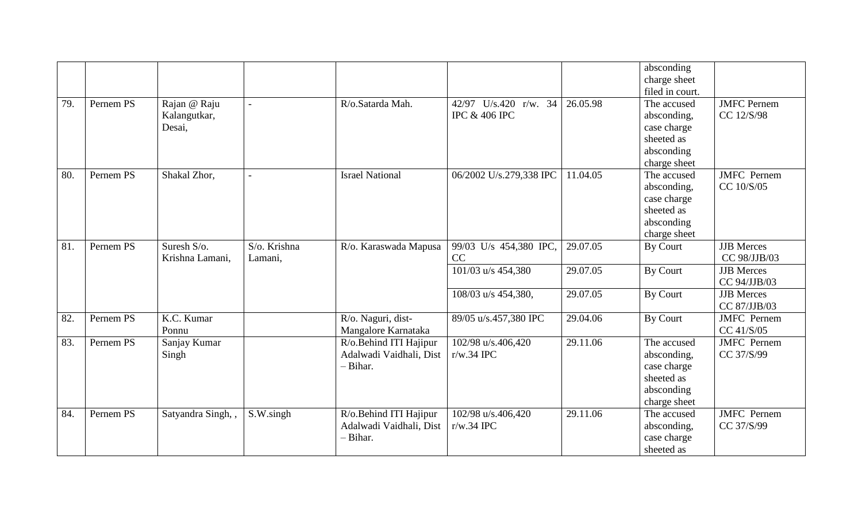|     |           |                                        |                         |                                                               |                                                   |          | absconding<br>charge sheet<br>filed in court.                                         |                                   |
|-----|-----------|----------------------------------------|-------------------------|---------------------------------------------------------------|---------------------------------------------------|----------|---------------------------------------------------------------------------------------|-----------------------------------|
| 79. | Pernem PS | Rajan @ Raju<br>Kalangutkar,<br>Desai, | $\overline{a}$          | R/o.Satarda Mah.                                              | 42/97 U/s.420 r/w. 34<br><b>IPC &amp; 406 IPC</b> | 26.05.98 | The accused<br>absconding,<br>case charge<br>sheeted as<br>absconding<br>charge sheet | <b>JMFC</b> Pernem<br>CC 12/S/98  |
| 80. | Pernem PS | Shakal Zhor,                           | $\overline{a}$          | <b>Israel National</b>                                        | 06/2002 U/s.279,338 IPC                           | 11.04.05 | The accused<br>absconding,<br>case charge<br>sheeted as<br>absconding<br>charge sheet | <b>JMFC</b> Pernem<br>CC 10/S/05  |
| 81. | Pernem PS | Suresh S/o.<br>Krishna Lamani,         | S/o. Krishna<br>Lamani, | R/o. Karaswada Mapusa                                         | 99/03 U/s 454,380 IPC,<br>CC                      | 29.07.05 | By Court                                                                              | <b>JJB</b> Merces<br>CC 98/JJB/03 |
|     |           |                                        |                         |                                                               | 101/03 u/s 454,380                                | 29.07.05 | By Court                                                                              | <b>JJB</b> Merces<br>CC 94/JJB/03 |
|     |           |                                        |                         |                                                               | 108/03 u/s 454,380,                               | 29.07.05 | By Court                                                                              | <b>JJB</b> Merces<br>CC 87/JJB/03 |
| 82. | Pernem PS | K.C. Kumar<br>Ponnu                    |                         | R/o. Naguri, dist-<br>Mangalore Karnataka                     | 89/05 u/s.457,380 IPC                             | 29.04.06 | By Court                                                                              | <b>JMFC</b> Pernem<br>CC 41/S/05  |
| 83. | Pernem PS | Sanjay Kumar<br>Singh                  |                         | R/o.Behind ITI Hajipur<br>Adalwadi Vaidhali, Dist<br>- Bihar. | 102/98 u/s.406,420<br>$r/w.34$ IPC                | 29.11.06 | The accused<br>absconding,<br>case charge<br>sheeted as<br>absconding<br>charge sheet | <b>JMFC</b> Pernem<br>CC 37/S/99  |
| 84. | Pernem PS | Satyandra Singh,                       | S.W.singh               | R/o.Behind ITI Hajipur<br>Adalwadi Vaidhali, Dist<br>- Bihar. | 102/98 u/s.406,420<br>$r/w.34$ IPC                | 29.11.06 | The accused<br>absconding,<br>case charge<br>sheeted as                               | <b>JMFC</b> Pernem<br>CC 37/S/99  |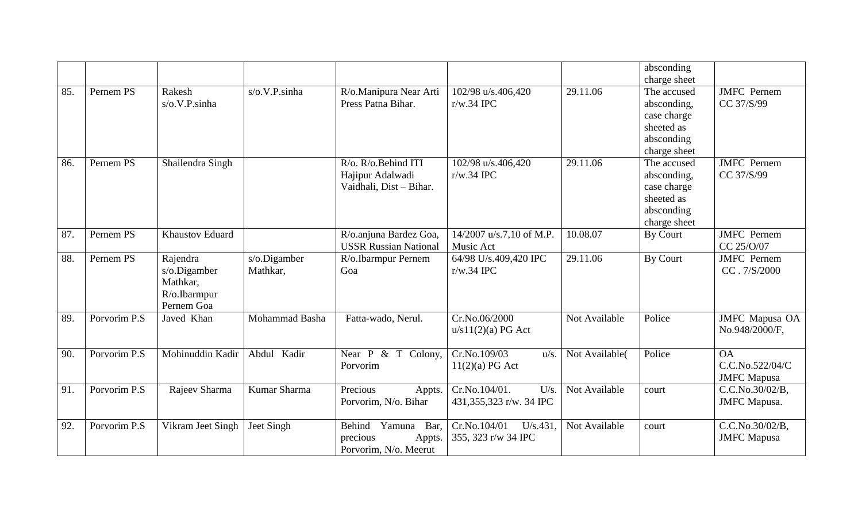|     |              |                                                                    |                          |                                                                         |                                                     |                | absconding<br>charge sheet                                                            |                                                    |
|-----|--------------|--------------------------------------------------------------------|--------------------------|-------------------------------------------------------------------------|-----------------------------------------------------|----------------|---------------------------------------------------------------------------------------|----------------------------------------------------|
| 85. | Pernem PS    | Rakesh<br>s/o.V.P.sinha                                            | s/o.V.P.sinha            | R/o.Manipura Near Arti<br>Press Patna Bihar.                            | 102/98 u/s.406,420<br>$r/w.34$ IPC                  | 29.11.06       | The accused<br>absconding,<br>case charge<br>sheeted as<br>absconding<br>charge sheet | <b>JMFC</b> Pernem<br>CC 37/S/99                   |
| 86. | Pernem PS    | Shailendra Singh                                                   |                          | R/o. R/o. Behind ITI<br>Hajipur Adalwadi<br>Vaidhali, Dist - Bihar.     | 102/98 u/s.406,420<br>$r/w.34$ IPC                  | 29.11.06       | The accused<br>absconding,<br>case charge<br>sheeted as<br>absconding<br>charge sheet | <b>JMFC</b> Pernem<br>CC 37/S/99                   |
| 87. | Pernem PS    | <b>Khaustov Eduard</b>                                             |                          | R/o.anjuna Bardez Goa,<br><b>USSR Russian National</b>                  | 14/2007 u/s.7,10 of M.P.<br>Music Act               | 10.08.07       | By Court                                                                              | <b>JMFC</b> Pernem<br>CC 25/0/07                   |
| 88. | Pernem PS    | Rajendra<br>s/o.Digamber<br>Mathkar,<br>R/o.Ibarmpur<br>Pernem Goa | s/o.Digamber<br>Mathkar, | R/o.Ibarmpur Pernem<br>Goa                                              | 64/98 U/s.409,420 IPC<br>$r/w.34$ IPC               | 29.11.06       | By Court                                                                              | <b>JMFC</b> Pernem<br>CC.7/S/2000                  |
| 89. | Porvorim P.S | Javed Khan                                                         | Mohammad Basha           | Fatta-wado, Nerul.                                                      | Cr.No.06/2000<br>u/s11(2)(a) PG Act                 | Not Available  | Police                                                                                | <b>JMFC</b> Mapusa OA<br>No.948/2000/F,            |
| 90. | Porvorim P.S | Mohinuddin Kadir                                                   | Abdul Kadir              | Near $P \& T \text{Colony},$<br>Porvorim                                | Cr.No.109/03<br>u/s.<br>11(2)(a) PG Act             | Not Available( | Police                                                                                | <b>OA</b><br>C.C.No.522/04/C<br><b>JMFC</b> Mapusa |
| 91. | Porvorim P.S | Rajeev Sharma                                                      | Kumar Sharma             | Precious<br>Appts.<br>Porvorim, N/o. Bihar                              | Cr.No.104/01.<br>$U/s$ .<br>431,355,323 r/w. 34 IPC | Not Available  | court                                                                                 | C.C.No.30/02/B,<br><b>JMFC</b> Mapusa.             |
| 92. | Porvorim P.S | Vikram Jeet Singh                                                  | Jeet Singh               | Behind<br>Yamuna<br>Bar,<br>precious<br>Appts.<br>Porvorim, N/o. Meerut | Cr.No.104/01<br>$U/s.431$ ,<br>355, 323 r/w 34 IPC  | Not Available  | court                                                                                 | C.C.No.30/02/B.<br><b>JMFC</b> Mapusa              |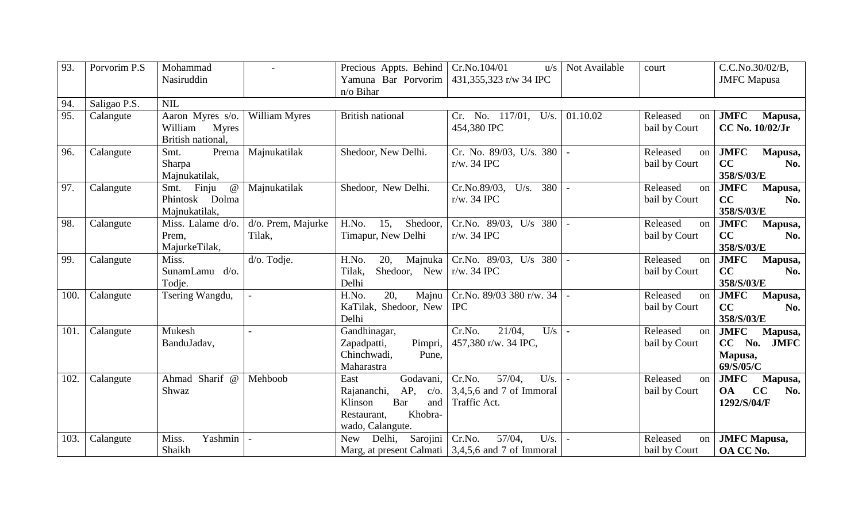| 93.  | Porvorim P.S | Mohammad                              | $\blacksquare$       | Precious Appts. Behind           | Cr.No.104/01<br>u/s                                 | Not Available  | court                     | C.C.No.30/02/B,        |
|------|--------------|---------------------------------------|----------------------|----------------------------------|-----------------------------------------------------|----------------|---------------------------|------------------------|
|      |              | Nasiruddin                            |                      | Yamuna Bar Porvorim              | 431,355,323 r/w 34 IPC                              |                |                           | <b>JMFC</b> Mapusa     |
|      |              |                                       |                      | n/o Bihar                        |                                                     |                |                           |                        |
| 94.  | Saligao P.S. | <b>NIL</b>                            |                      |                                  |                                                     |                |                           |                        |
| 95.  | Calangute    | Aaron Myres s/o.                      | <b>William Myres</b> | <b>British national</b>          | $Cr.$ No. $117/01,$<br>U/s.                         | 01.10.02       | Released<br>on            | <b>JMFC</b><br>Mapusa, |
|      |              | William<br><b>Myres</b>               |                      |                                  | 454,380 IPC                                         |                | bail by Court             | CC No. 10/02/Jr        |
|      |              | British national,                     |                      |                                  |                                                     |                |                           |                        |
| 96.  | Calangute    | Smt.<br>Prema                         | Majnukatilak         | Shedoor, New Delhi.              | Cr. No. 89/03, U/s. 380                             |                | Released<br>on            | <b>JMFC</b><br>Mapusa, |
|      |              | Sharpa                                |                      |                                  | $r/w.$ 34 IPC                                       |                | bail by Court             | CC<br>No.              |
|      |              | Majnukatilak,                         |                      |                                  |                                                     |                |                           | 358/S/03/E             |
| 97.  | Calangute    | Smt. Finju<br>$\omega$                | Majnukatilak         | Shedoor, New Delhi.              | Cr.No.89/03,<br>380<br>U/s.                         |                | Released<br>on            | <b>JMFC</b><br>Mapusa, |
|      |              | Phintosk Dolma                        |                      |                                  | $r/w.$ 34 IPC                                       |                | bail by Court             | CC<br>No.              |
|      |              | Majnukatilak,                         |                      |                                  |                                                     |                |                           | 358/S/03/E             |
| 98.  | Calangute    | $\overline{\text{Miss.}}$ Lalame d/o. | d/o. Prem, Majurke   | 15,<br>H.No.<br>Shedoor,         | Cr.No. 89/03, U/s 380                               | $\sim$         | Released<br><sub>on</sub> | <b>JMFC</b><br>Mapusa, |
|      |              | Prem.                                 | Tilak,               | Timapur, New Delhi               | $r/w.$ 34 IPC                                       |                | bail by Court             | CC<br>No.              |
|      |              | MajurkeTilak,                         |                      |                                  |                                                     |                |                           | 358/S/03/E             |
| 99.  | Calangute    | Miss.                                 | d/o. Todje.          | H.No.<br>20,<br>Majnuka          | Cr.No. $89/03$ , U/s $380$                          |                | Released<br>on            | <b>JMFC</b><br>Mapusa, |
|      |              | SunamLamu d/o.                        |                      | Tilak,<br>Shedoor, New           | $r/w.$ 34 IPC                                       |                | bail by Court             | CC<br>No.              |
|      |              | Todje.                                |                      | Delhi                            |                                                     |                |                           | 358/S/03/E             |
| 100. | Calangute    | Tsering Wangdu,                       |                      | 20,<br>H.No.<br>Majnu            | Cr.No. $89/03$ 380 r/w. 34                          |                | Released<br>on            | <b>JMFC</b><br>Mapusa, |
|      |              |                                       |                      | KaTilak, Shedoor, New            | <b>IPC</b>                                          |                | bail by Court             | CC<br>No.              |
|      |              |                                       |                      | Delhi                            |                                                     |                |                           | 358/S/03/E             |
| 101. | Calangute    | Mukesh                                |                      | Gandhinagar,                     | $21/04$ ,<br>Cr.No.<br>U/s                          |                | Released<br>on            | <b>JMFC</b><br>Mapusa, |
|      |              | BanduJadav,                           |                      | Zapadpatti,<br>Pimpri,           | 457,380 r/w. 34 IPC,                                |                | bail by Court             | CC No.<br><b>JMFC</b>  |
|      |              |                                       |                      | Chinchwadi,<br>Pune,             |                                                     |                |                           | Mapusa,                |
|      |              |                                       |                      | Maharastra                       |                                                     |                |                           | 69/S/05/C              |
| 102. | Calangute    | Ahmad Sharif @                        | Mehboob              | Godavani,<br>East                | Cr.No.<br>57/04.<br>U/s.                            | $\overline{a}$ | Released<br>on            | <b>JMFC</b><br>Mapusa, |
|      |              | Shwaz                                 |                      | AP,<br>Rajananchi,<br>$c/O$ .    | $3,4,5,6$ and 7 of Immoral                          |                | bail by Court             | CC<br><b>OA</b><br>No. |
|      |              |                                       |                      | Bar<br>Klinson<br>and            | Traffic Act.                                        |                |                           | 1292/S/04/F            |
|      |              |                                       |                      | Khobra-<br>Restaurant,           |                                                     |                |                           |                        |
|      |              |                                       |                      | wado, Calangute.                 |                                                     |                |                           |                        |
| 103. | Calangute    | Yashmin<br>Miss.                      |                      | Sarojini<br>Delhi,<br><b>New</b> | Cr.No.<br>57/04,<br>U/s.                            |                | Released<br>on            | <b>JMFC</b> Mapusa,    |
|      |              | Shaikh                                |                      |                                  | Marg, at present Calmati   3,4,5,6 and 7 of Immoral |                | bail by Court             | OA CC No.              |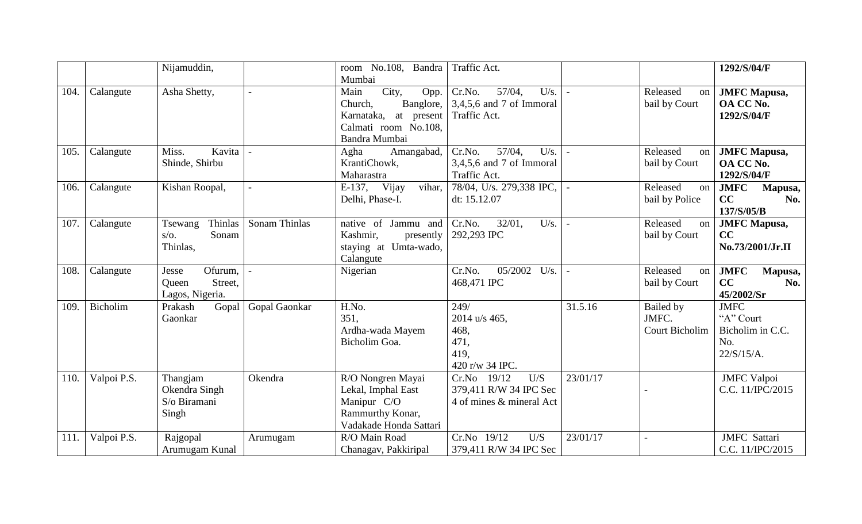|      |             | Nijamuddin,                                             |               | room No.108, Bandra<br>Mumbai                                                                                   | Traffic Act.                                                             |          |                                             | 1292/S/04/F                                                       |
|------|-------------|---------------------------------------------------------|---------------|-----------------------------------------------------------------------------------------------------------------|--------------------------------------------------------------------------|----------|---------------------------------------------|-------------------------------------------------------------------|
| 104. | Calangute   | Asha Shetty,                                            |               | City,<br>Main<br>Opp.<br>Banglore,<br>Church,<br>Karnataka, at present<br>Calmati room No.108,<br>Bandra Mumbai | 57/04,<br>Cr.No.<br>U/s.<br>$3,4,5,6$ and 7 of Immoral<br>Traffic Act.   | $\sim$   | Released<br>on<br>bail by Court             | <b>JMFC</b> Mapusa,<br>OA CC No.<br>1292/S/04/F                   |
| 105. | Calangute   | Kavita<br>Miss.<br>Shinde, Shirbu                       |               | Amangabad,<br>Agha<br>KrantiChowk,<br>Maharastra                                                                | 57/04,<br>U/s.<br>Cr.No.<br>$3,4,5,6$ and 7 of Immoral<br>Traffic Act.   |          | Released<br>on<br>bail by Court             | <b>JMFC</b> Mapusa,<br>OA CC No.<br>1292/S/04/F                   |
| 106. | Calangute   | Kishan Roopal,                                          |               | $E-137$ ,<br>Vijay<br>vihar,<br>Delhi, Phase-I.                                                                 | 78/04, U/s. 279,338 IPC,<br>dt: 15.12.07                                 |          | Released<br>on<br>bail by Police            | <b>JMFC</b><br>Mapusa,<br>CC<br>No.<br>137/S/05/B                 |
| 107. | Calangute   | Thinlas<br>Tsewang<br>Sonam<br>$S/O$ .<br>Thinlas,      | Sonam Thinlas | native of Jammu and<br>Kashmir,<br>presently<br>staying at Umta-wado,<br>Calangute                              | $32/01$ ,<br>U/s.<br>Cr.No.<br>292,293 IPC                               |          | Released<br>on<br>bail by Court             | <b>JMFC</b> Mapusa,<br>CC<br>No.73/2001/Jr.II                     |
| 108. | Calangute   | Ofurum,<br>Jesse<br>Street,<br>Queen<br>Lagos, Nigeria. |               | Nigerian                                                                                                        | 05/2002<br>Cr.No.<br>U/s.<br>468,471 IPC                                 |          | Released<br><sub>on</sub><br>bail by Court  | <b>JMFC</b><br>Mapusa,<br>CC<br>No.<br>45/2002/Sr                 |
| 109. | Bicholim    | Prakash<br>Gopal<br>Gaonkar                             | Gopal Gaonkar | H.No.<br>351.<br>Ardha-wada Mayem<br>Bicholim Goa.                                                              | 249/<br>$2014$ u/s 465,<br>468,<br>471,<br>419,<br>420 r/w 34 IPC.       | 31.5.16  | Bailed by<br>JMFC.<br><b>Court Bicholim</b> | <b>JMFC</b><br>"A" Court<br>Bicholim in C.C.<br>No.<br>22/S/15/A. |
| 110. | Valpoi P.S. | Thangjam<br>Okendra Singh<br>S/o Biramani<br>Singh      | Okendra       | R/O Nongren Mayai<br>Lekal, Imphal East<br>Manipur C/O<br>Rammurthy Konar,<br>Vadakade Honda Sattari            | Cr.No 19/12<br>U/S<br>379,411 R/W 34 IPC Sec<br>4 of mines & mineral Act | 23/01/17 |                                             | <b>JMFC</b> Valpoi<br>C.C. 11/IPC/2015                            |
| 111. | Valpoi P.S. | Rajgopal<br>Arumugam Kunal                              | Arumugam      | R/O Main Road<br>Chanagav, Pakkiripal                                                                           | Cr.No 19/12<br>U/S<br>379,411 R/W 34 IPC Sec                             | 23/01/17 |                                             | <b>JMFC</b> Sattari<br>C.C. 11/IPC/2015                           |